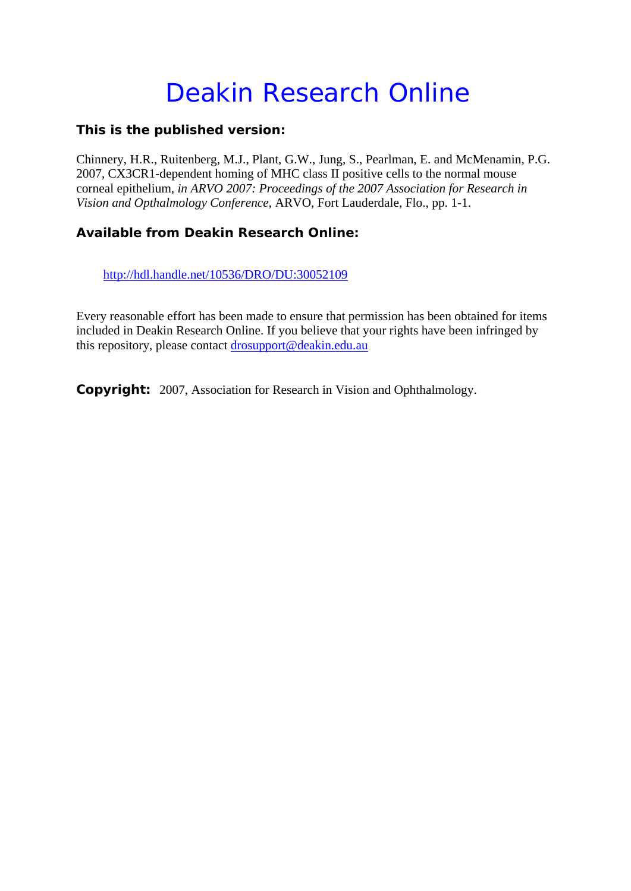## Deakin Research Online

## **This is the published version:**

Chinnery, H.R., Ruitenberg, M.J., Plant, G.W., Jung, S., Pearlman, E. and McMenamin, P.G. 2007, CX3CR1-dependent homing of MHC class II positive cells to the normal mouse corneal epithelium*, in ARVO 2007: Proceedings of the 2007 Association for Research in Vision and Opthalmology Conference*, ARVO, Fort Lauderdale, Flo., pp. 1-1.

## **Available from Deakin Research Online:**

http://hdl.handle.net/10536/DRO/DU:30052109

Every reasonable effort has been made to ensure that permission has been obtained for items included in Deakin Research Online. If you believe that your rights have been infringed by this repository, please contact drosupport@deakin.edu.au

**Copyright:** 2007, Association for Research in Vision and Ophthalmology.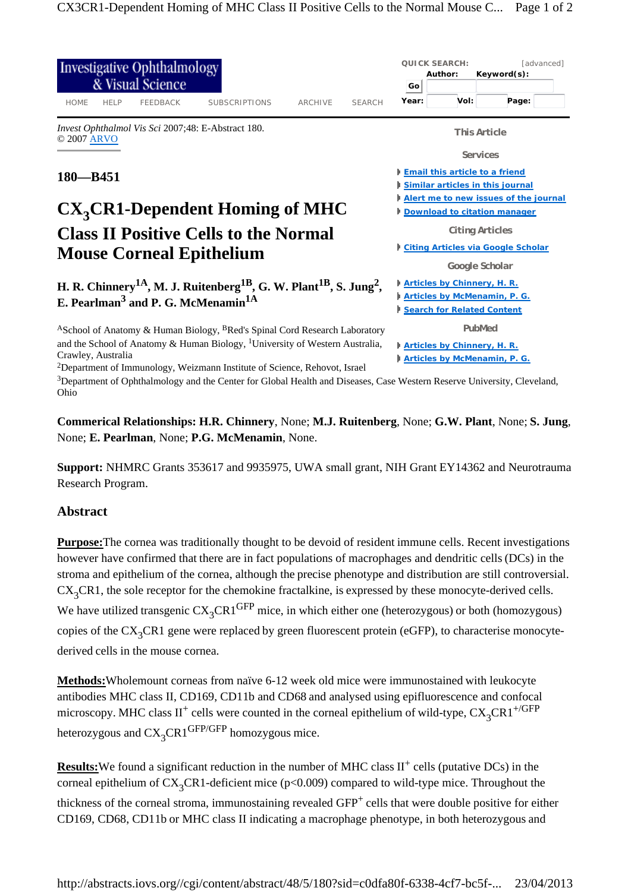

**Commerical Relationships: H.R. Chinnery**, None; **M.J. Ruitenberg**, None; **G.W. Plant**, None; **S. Jung**, None; **E. Pearlman**, None; **P.G. McMenamin**, None.

**Support:** NHMRC Grants 353617 and 9935975, UWA small grant, NIH Grant EY14362 and Neurotrauma Research Program.

## **Abstract**

**Purpose:**The cornea was traditionally thought to be devoid of resident immune cells. Recent investigations however have confirmed that there are in fact populations of macrophages and dendritic cells (DCs) in the stroma and epithelium of the cornea, although the precise phenotype and distribution are still controversial.  $CX<sub>3</sub>CR1$ , the sole receptor for the chemokine fractalkine, is expressed by these monocyte-derived cells. We have utilized transgenic  $CX_3CR1^{GFP}$  mice, in which either one (heterozygous) or both (homozygous) copies of the  $CX_3CR1$  gene were replaced by green fluorescent protein (eGFP), to characterise monocytederived cells in the mouse cornea.

**Methods:**Wholemount corneas from naïve 6-12 week old mice were immunostained with leukocyte antibodies MHC class II, CD169, CD11b and CD68 and analysed using epifluorescence and confocal microscopy. MHC class II<sup>+</sup> cells were counted in the corneal epithelium of wild-type,  $CX_3CR1^{+/GFP}$ heterozygous and  $CX<sub>3</sub>CR1<sup>GFP/GFP</sup>$  homozygous mice.

**Results:** We found a significant reduction in the number of MHC class  $II^+$  cells (putative DCs) in the corneal epithelium of  $CX_3CR1$ -deficient mice (p<0.009) compared to wild-type mice. Throughout the thickness of the corneal stroma, immunostaining revealed GFP+ cells that were double positive for either CD169, CD68, CD11b or MHC class II indicating a macrophage phenotype, in both heterozygous and